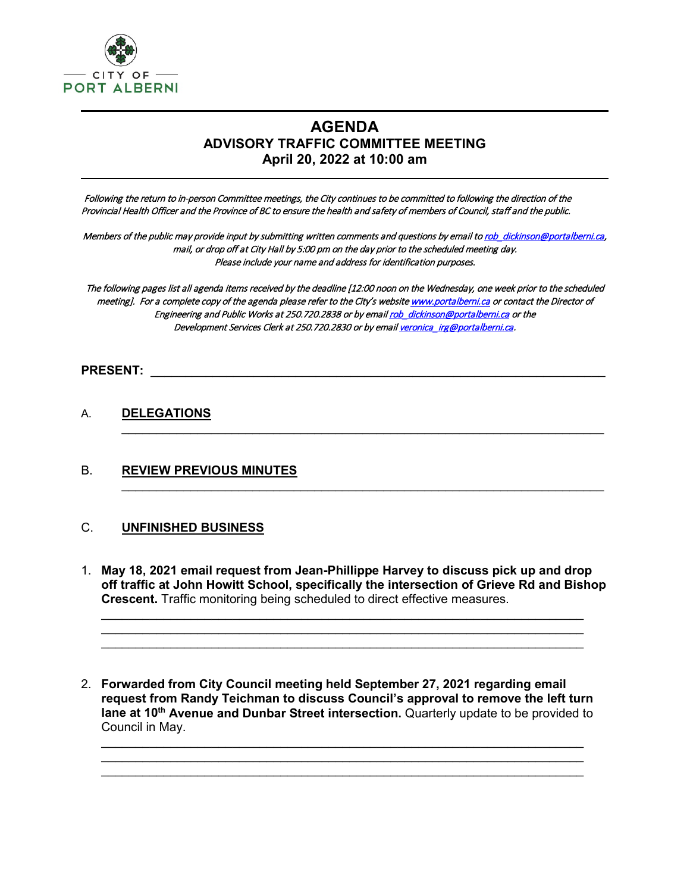

 $\overline{a}$ 

# **AGENDA ADVISORY TRAFFIC COMMITTEE MEETING April 20, 2022 at 10:00 am**

 Following the return to in-person Committee meetings, the City continues to be committed to following the direction of the Provincial Health Officer and the Province of BC to ensure the health and safety of members of Council, staff and the public.

Members of the public may provide input by submitting written comments and questions by email to rob dickinson@portalberni.ca, mail, or drop off at City Hall by 5:00 pm on the day prior to the scheduled meeting day. Please include your name and address for identification purposes.

The following pages list all agenda items received by the deadline [12:00 noon on the Wednesday, one week prior to the scheduled meeting]. For a complete copy of the agenda please refer to the City's websit[e www.portalberni.ca](http://www.portalberni.ca/) or contact the Director of Engineering and Public Works at 250.720.2838 or by emai[l rob\\_dickinson@portalberni.ca](mailto:rob_dickinson@portalberni.ca) or the Development Services Clerk at 250.720.2830 or by email veronica irg@portalberni.ca.

 $\_$ 

 $\_$ 

#### **PRESENT:** \_\_\_\_\_\_\_\_\_\_\_\_\_\_\_\_\_\_\_\_\_\_\_\_\_\_\_\_\_\_\_\_\_\_\_\_\_\_\_\_\_\_\_\_\_\_\_\_\_\_\_\_\_\_\_\_\_\_\_\_\_\_\_\_\_\_

## A. **DELEGATIONS**

## B. **REVIEW PREVIOUS MINUTES**

#### C. **UNFINISHED BUSINESS**

1. **May 18, 2021 email request from Jean-Phillippe Harvey to discuss pick up and drop off traffic at John Howitt School, specifically the intersection of Grieve Rd and Bishop Crescent.** Traffic monitoring being scheduled to direct effective measures.

\_\_\_\_\_\_\_\_\_\_\_\_\_\_\_\_\_\_\_\_\_\_\_\_\_\_\_\_\_\_\_\_\_\_\_\_\_\_\_\_\_\_\_\_\_\_\_\_\_\_\_\_\_\_\_\_\_\_\_\_\_\_\_\_\_\_\_\_\_\_ \_\_\_\_\_\_\_\_\_\_\_\_\_\_\_\_\_\_\_\_\_\_\_\_\_\_\_\_\_\_\_\_\_\_\_\_\_\_\_\_\_\_\_\_\_\_\_\_\_\_\_\_\_\_\_\_\_\_\_\_\_\_\_\_\_\_\_\_\_\_  $\_$  , and the set of the set of the set of the set of the set of the set of the set of the set of the set of the set of the set of the set of the set of the set of the set of the set of the set of the set of the set of th

2. **Forwarded from City Council meeting held September 27, 2021 regarding email request from Randy Teichman to discuss Council's approval to remove the left turn lane at 10th Avenue and Dunbar Street intersection.** Quarterly update to be provided to Council in May.

 $\_$  $\_$  $\_$  , and the set of the set of the set of the set of the set of the set of the set of the set of the set of the set of the set of the set of the set of the set of the set of the set of the set of the set of the set of th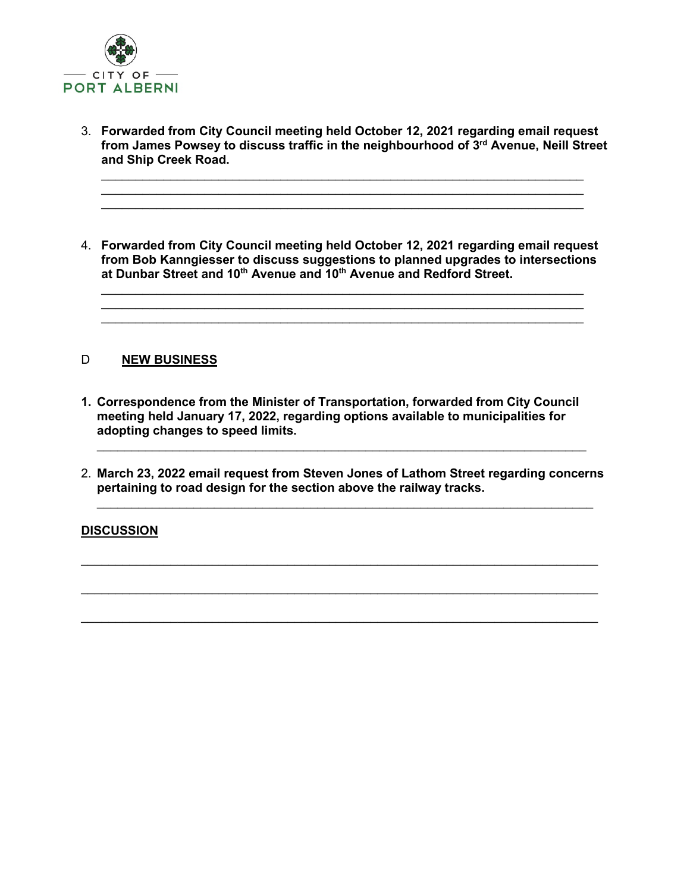

3. **Forwarded from City Council meeting held October 12, 2021 regarding email request from James Powsey to discuss traffic in the neighbourhood of 3rd Avenue, Neill Street and Ship Creek Road.**

 $\_$  , and the set of the set of the set of the set of the set of the set of the set of the set of the set of the set of the set of the set of the set of the set of the set of the set of the set of the set of the set of th  $\_$  , and the set of the set of the set of the set of the set of the set of the set of the set of the set of the set of the set of the set of the set of the set of the set of the set of the set of the set of the set of th \_\_\_\_\_\_\_\_\_\_\_\_\_\_\_\_\_\_\_\_\_\_\_\_\_\_\_\_\_\_\_\_\_\_\_\_\_\_\_\_\_\_\_\_\_\_\_\_\_\_\_\_\_\_\_\_\_\_\_\_\_\_\_\_\_\_\_\_\_\_

4. **Forwarded from City Council meeting held October 12, 2021 regarding email request from Bob Kanngiesser to discuss suggestions to planned upgrades to intersections at Dunbar Street and 10th Avenue and 10th Avenue and Redford Street.**

 $\_$  , and the set of the set of the set of the set of the set of the set of the set of the set of the set of the set of the set of the set of the set of the set of the set of the set of the set of the set of the set of th  $\_$  , and the set of the set of the set of the set of the set of the set of the set of the set of the set of the set of the set of the set of the set of the set of the set of the set of the set of the set of the set of th  $\_$  , and the set of the set of the set of the set of the set of the set of the set of the set of the set of the set of the set of the set of the set of the set of the set of the set of the set of the set of the set of th

## D **NEW BUSINESS**

- **1. Correspondence from the Minister of Transportation, forwarded from City Council meeting held January 17, 2022, regarding options available to municipalities for adopting changes to speed limits.**
- 2. **March 23, 2022 email request from Steven Jones of Lathom Street regarding concerns pertaining to road design for the section above the railway tracks.**  $\_$  , and the set of the set of the set of the set of the set of the set of the set of the set of the set of the set of the set of the set of the set of the set of the set of the set of the set of the set of the set of th

 $\mathcal{L}_\text{max}$  , and the set of the set of the set of the set of the set of the set of the set of the set of the set of the set of the set of the set of the set of the set of the set of the set of the set of the set of the

\_\_\_\_\_\_\_\_\_\_\_\_\_\_\_\_\_\_\_\_\_\_\_\_\_\_\_\_\_\_\_\_\_\_\_\_\_\_\_\_\_\_\_\_\_\_\_\_\_\_\_\_\_\_\_\_\_\_\_\_\_\_\_\_\_\_\_\_\_\_\_\_\_\_\_

 $\mathcal{L}_\text{max}$  , and the set of the set of the set of the set of the set of the set of the set of the set of the set of the set of the set of the set of the set of the set of the set of the set of the set of the set of the

 $\_$  , and the set of the set of the set of the set of the set of the set of the set of the set of the set of the set of the set of the set of the set of the set of the set of the set of the set of the set of the set of th

## **DISCUSSION**